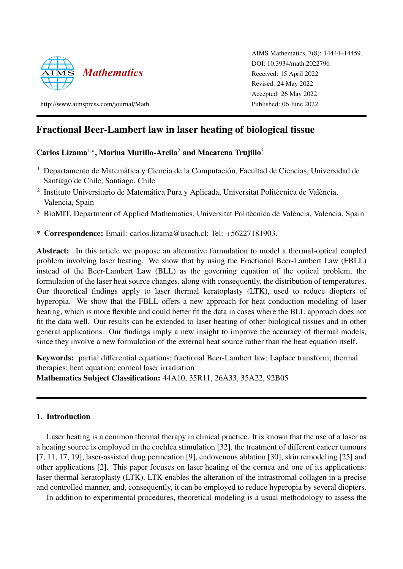

http://[www.aimspress.com](http://www.aimspress.com/journal/Math)/journal/Math

AIMS Mathematics, 7(8): 14444–14459. DOI: 10.3934/[math.2022796](http://dx.doi.org/ 10.3934/math.2022796) Received: 15 April 2022 Revised: 24 May 2022 Accepted: 26 May 2022 Published: 06 June 2022

# Fractional Beer-Lambert law in laser heating of biological tissue

# Carlos Lizama<sup>1,\*</sup>, Marina Murillo-Arcila<sup>2</sup> and Macarena Trujillo<sup>3</sup>

- <sup>1</sup> Departamento de Matemática y Ciencia de la Computación, Facultad de Ciencias, Universidad de Santiago de Chile, Santiago, Chile
- <sup>2</sup> Instituto Universitario de Matemática Pura y Aplicada, Universitat Politècnica de València, Valencia, Spain
- $3$  BioMIT, Department of Applied Mathematics, Universitat Politècnica de València, Valencia, Spain
- \* Correspondence: Email: carlos.lizama@usach.cl; Tel: +56227181903.

Abstract: In this article we propose an alternative formulation to model a thermal-optical coupled problem involving laser heating. We show that by using the Fractional Beer-Lambert Law (FBLL) instead of the Beer-Lambert Law (BLL) as the governing equation of the optical problem, the formulation of the laser heat source changes, along with consequently, the distribution of temperatures. Our theoretical findings apply to laser thermal keratoplasty (LTK), used to reduce diopters of hyperopia. We show that the FBLL offers a new approach for heat conduction modeling of laser heating, which is more flexible and could better fit the data in cases where the BLL approach does not fit the data well. Our results can be extended to laser heating of other biological tissues and in other general applications. Our findings imply a new insight to improve the accuracy of thermal models, since they involve a new formulation of the external heat source rather than the heat equation itself.

Keywords: partial differential equations; fractional Beer-Lambert law; Laplace transform; thermal therapies; heat equation; corneal laser irradiation Mathematics Subject Classification: 44A10, 35R11, 26A33, 35A22, 92B05

# 1. Introduction

Laser heating is a common thermal therapy in clinical practice. It is known that the use of a laser as a heating source is employed in the cochlea stimulation [\[32\]](#page-15-0), the treatment of different cancer tumours [\[7,](#page-14-0) [11,](#page-14-1) [17,](#page-14-2) [19\]](#page-14-3), laser-assisted drug permeation [\[9\]](#page-14-4), endovenous ablation [\[30\]](#page-15-1), skin remodeling [\[25\]](#page-15-2) and other applications [\[2\]](#page-13-0). This paper focuses on laser heating of the cornea and one of its applications: laser thermal keratoplasty (LTK). LTK enables the alteration of the intrastromal collagen in a precise and controlled manner, and, consequently, it can be employed to reduce hyperopia by several diopters.

In addition to experimental procedures, theoretical modeling is a usual methodology to assess the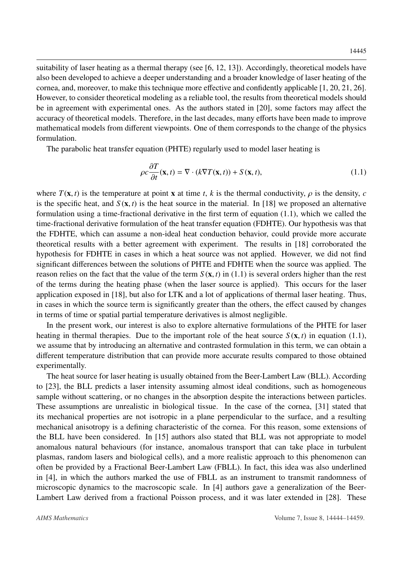suitability of laser heating as a thermal therapy (see [\[6,](#page-14-5) [12,](#page-14-6) [13\]](#page-14-7)). Accordingly, theoretical models have also been developed to achieve a deeper understanding and a broader knowledge of laser heating of the cornea, and, moreover, to make this technique more effective and confidently applicable [\[1,](#page-13-1) [20,](#page-14-8) [21,](#page-15-3) [26\]](#page-15-4). However, to consider theoretical modeling as a reliable tool, the results from theoretical models should be in agreement with experimental ones. As the authors stated in [\[20\]](#page-14-8), some factors may affect the accuracy of theoretical models. Therefore, in the last decades, many efforts have been made to improve mathematical models from different viewpoints. One of them corresponds to the change of the physics formulation.

The parabolic heat transfer equation (PHTE) regularly used to model laser heating is

<span id="page-1-0"></span>
$$
\rho c \frac{\partial T}{\partial t}(\mathbf{x}, t) = \nabla \cdot (k \nabla T(\mathbf{x}, t)) + S(\mathbf{x}, t), \qquad (1.1)
$$

where  $T(\mathbf{x}, t)$  is the temperature at point **x** at time *t*, *k* is the thermal conductivity,  $\rho$  is the density, *c* is the specific heat, and  $S(\mathbf{x}, t)$  is the heat source in the material. In [\[18\]](#page-14-9) we proposed an alternative formulation using a time-fractional derivative in the first term of equation [\(1.1\)](#page-1-0), which we called the time-fractional derivative formulation of the heat transfer equation (FDHTE). Our hypothesis was that the FDHTE, which can assume a non-ideal heat conduction behavior, could provide more accurate theoretical results with a better agreement with experiment. The results in [\[18\]](#page-14-9) corroborated the hypothesis for FDHTE in cases in which a heat source was not applied. However, we did not find significant differences between the solutions of PHTE and FDHTE when the source was applied. The reason relies on the fact that the value of the term  $S(\mathbf{x}, t)$  in [\(1.1\)](#page-1-0) is several orders higher than the rest of the terms during the heating phase (when the laser source is applied). This occurs for the laser application exposed in [\[18\]](#page-14-9), but also for LTK and a lot of applications of thermal laser heating. Thus, in cases in which the source term is significantly greater than the others, the effect caused by changes in terms of time or spatial partial temperature derivatives is almost negligible.

In the present work, our interest is also to explore alternative formulations of the PHTE for laser heating in thermal therapies. Due to the important role of the heat source  $S(\mathbf{x}, t)$  in equation [\(1.1\)](#page-1-0), we assume that by introducing an alternative and contrasted formulation in this term, we can obtain a different temperature distribution that can provide more accurate results compared to those obtained experimentally.

The heat source for laser heating is usually obtained from the Beer-Lambert Law (BLL). According to [\[23\]](#page-15-5), the BLL predicts a laser intensity assuming almost ideal conditions, such as homogeneous sample without scattering, or no changes in the absorption despite the interactions between particles. These assumptions are unrealistic in biological tissue. In the case of the cornea, [\[31\]](#page-15-6) stated that its mechanical properties are not isotropic in a plane perpendicular to the surface, and a resulting mechanical anisotropy is a defining characteristic of the cornea. For this reason, some extensions of the BLL have been considered. In [\[15\]](#page-14-10) authors also stated that BLL was not appropriate to model anomalous natural behaviours (for instance, anomalous transport that can take place in turbulent plasmas, random lasers and biological cells), and a more realistic approach to this phenomenon can often be provided by a Fractional Beer-Lambert Law (FBLL). In fact, this idea was also underlined in [\[4\]](#page-13-2), in which the authors marked the use of FBLL as an instrument to transmit randomness of microscopic dynamics to the macroscopic scale. In [\[4\]](#page-13-2) authors gave a generalization of the Beer-Lambert Law derived from a fractional Poisson process, and it was later extended in [\[28\]](#page-15-7). These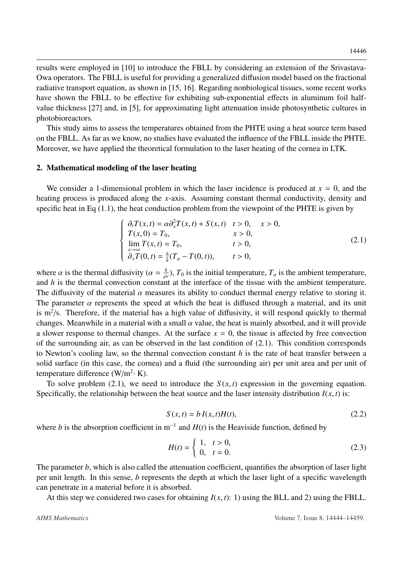results were employed in [\[10\]](#page-14-11) to introduce the FBLL by considering an extension of the Srivastava-Owa operators. The FBLL is useful for providing a generalized diffusion model based on the fractional radiative transport equation, as shown in [\[15,](#page-14-10) [16\]](#page-14-12). Regarding nonbiological tissues, some recent works have shown the FBLL to be effective for exhibiting sub-exponential effects in aluminum foil halfvalue thickness [\[27\]](#page-15-8) and, in [\[5\]](#page-14-13), for approximating light attenuation inside photosynthetic cultures in photobioreactors.

This study aims to assess the temperatures obtained from the PHTE using a heat source term based on the FBLL. As far as we know, no studies have evaluated the influence of the FBLL inside the PHTE. Moreover, we have applied the theoretical formulation to the laser heating of the cornea in LTK.

#### 2. Mathematical modeling of the laser heating

We consider a 1-dimensional problem in which the laser incidence is produced at  $x = 0$ , and the heating process is produced along the *x*-axis. Assuming constant thermal conductivity, density and specific heat in Eq  $(1.1)$ , the heat conduction problem from the viewpoint of the PHTE is given by

<span id="page-2-0"></span>
$$
\begin{cases}\n\partial_t T(x,t) = \alpha \partial_x^2 T(x,t) + S(x,t) & t > 0, \\
T(x,0) = T_0, & x > 0, \\
\lim_{x \to \infty} T(x,t) = T_0, & t > 0, \\
\partial_x T(0,t) = \frac{h}{k} (T_a - T(0,t)), & t > 0,\n\end{cases} \tag{2.1}
$$

where  $\alpha$  is the thermal diffusivity ( $\alpha = \frac{k}{\rho_0}$  $\frac{k}{\rho c}$ ),  $T_0$  is the initial temperature,  $T_a$  is the ambient temperature, and *h* is the thermal convection constant at the interface of the tissue with the ambient temperature. The diffusivity of the material  $\alpha$  measures its ability to conduct thermal energy relative to storing it. The parameter  $\alpha$  represents the speed at which the heat is diffused through a material, and its unit is  $m^2/s$ . Therefore, if the material has a high value of diffusivity, it will respond quickly to thermal changes. Meanwhile in a material with a small  $\alpha$  value, the heat is mainly absorbed, and it will provide a slower response to thermal changes. At the surface  $x = 0$ , the tissue is affected by free convection of the surrounding air, as can be observed in the last condition of [\(2.1\)](#page-2-0). This condition corresponds to Newton's cooling law, so the thermal convection constant *h* is the rate of heat transfer between a solid surface (in this case, the cornea) and a fluid (the surrounding air) per unit area and per unit of temperature difference  $(W/m^2 \cdot K)$ .

To solve problem [\(2.1\)](#page-2-0), we need to introduce the  $S(x, t)$  expression in the governing equation. Specifically, the relationship between the heat source and the laser intensity distribution  $I(x, t)$  is:

<span id="page-2-1"></span>
$$
S(x,t) = b I(x,t)H(t),
$$
\n(2.2)

where *b* is the absorption coefficient in  $m^{-1}$  and  $H(t)$  is the Heaviside function, defined by

$$
H(t) = \begin{cases} 1, & t > 0, \\ 0, & t = 0. \end{cases}
$$
 (2.3)

The parameter *b*, which is also called the attenuation coefficient, quantifies the absorption of laser light per unit length. In this sense, *b* represents the depth at which the laser light of a specific wavelength can penetrate in a material before it is absorbed.

At this step we considered two cases for obtaining  $I(x, t)$ : 1) using the BLL and 2) using the FBLL.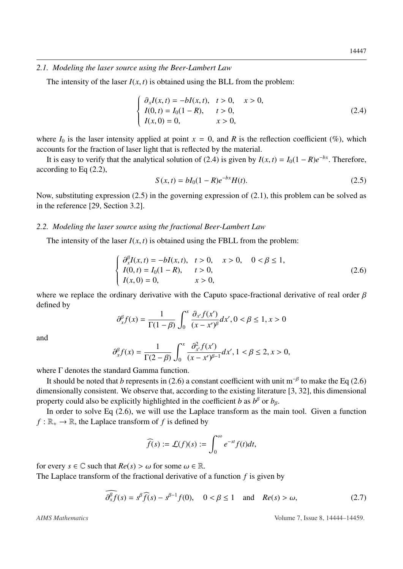#### *2.1. Modeling the laser source using the Beer-Lambert Law*

The intensity of the laser  $I(x, t)$  is obtained using the BLL from the problem:

<span id="page-3-0"></span>
$$
\begin{cases}\n\partial_x I(x,t) = -bI(x,t), & t > 0, \quad x > 0, \\
I(0,t) = I_0(1 - R), & t > 0, \\
I(x, 0) = 0, & x > 0,\n\end{cases}
$$
\n(2.4)

where  $I_0$  is the laser intensity applied at point  $x = 0$ , and R is the reflection coefficient (%), which accounts for the fraction of laser light that is reflected by the material.

It is easy to verify that the analytical solution of [\(2.4\)](#page-3-0) is given by  $I(x, t) = I_0(1 - R)e^{-bx}$ . Therefore, ording to Eq. (2.2) according to Eq [\(2.2\)](#page-2-1),

<span id="page-3-1"></span>
$$
S(x,t) = bI_0(1 - R)e^{-bx}H(t).
$$
 (2.5)

Now, substituting expression [\(2.5\)](#page-3-1) in the governing expression of [\(2.1\)](#page-2-0), this problem can be solved as in the reference [\[29,](#page-15-9) Section 3.2].

#### *2.2. Modeling the laser source using the fractional Beer-Lambert Law*

The intensity of the laser  $I(x, t)$  is obtained using the FBLL from the problem:

<span id="page-3-2"></span>
$$
\begin{cases}\n\frac{\partial_x^{\beta} I(x,t) = -bI(x,t), & t > 0, \quad x > 0, \quad 0 < \beta \le 1, \\
I(0,t) = I_0(1-R), & t > 0, \\
I(x,0) = 0, & x > 0,\n\end{cases} \tag{2.6}
$$

where we replace the ordinary derivative with the Caputo space-fractional derivative of real order  $\beta$ defined by

$$
\partial_x^{\beta} f(x) = \frac{1}{\Gamma(1-\beta)} \int_0^x \frac{\partial_{x'} f(x')}{(x - x')^{\beta}} dx', 0 < \beta \le 1, x > 0
$$

and

$$
\partial_x^{\beta} f(x) = \frac{1}{\Gamma(2-\beta)} \int_0^x \frac{\partial_{x'}^2 f(x')}{(x-x')^{\beta-1}} dx', 1 < \beta \le 2, x > 0,
$$

where Γ denotes the standard Gamma function.

It should be noted that *b* represents in [\(2.6\)](#page-3-2) a constant coefficient with unit m<sup>-β</sup> to make the Eq (2.6) dimensionally consistent. We observe that, according to the existing literature [\[3,](#page-13-3) [32\]](#page-15-0), this dimensional property could also be explicitly highlighted in the coefficient *b* as  $b^{\beta}$  or  $b_{\beta}$ .<br>In order to solve Eq. (2.6), we will use the Laplace transform as the m

In order to solve Eq [\(2.6\)](#page-3-2), we will use the Laplace transform as the main tool. Given a function  $f : \mathbb{R}_+ \to \mathbb{R}$ , the Laplace transform of *f* is defined by

$$
\widehat{f}(s) := \mathcal{L}(f)(s) := \int_0^\infty e^{-st} f(t) dt,
$$

for every  $s \in \mathbb{C}$  such that  $Re(s) > \omega$  for some  $\omega \in \mathbb{R}$ .

The Laplace transform of the fractional derivative of a function *f* is given by

<span id="page-3-3"></span>
$$
\widehat{\partial_x^{\beta} f}(s) = s^{\beta} \widehat{f}(s) - s^{\beta - 1} f(0), \quad 0 < \beta \le 1 \quad \text{and} \quad Re(s) > \omega,\tag{2.7}
$$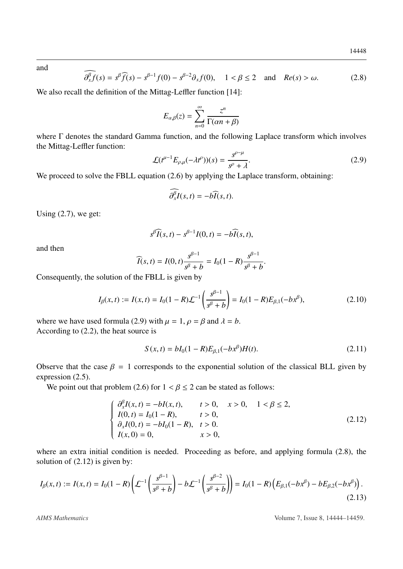and

<span id="page-4-1"></span>
$$
\partial_x^{\beta} f(s) = s^{\beta} \widehat{f}(s) - s^{\beta - 1} f(0) - s^{\beta - 2} \partial_x f(0), \quad 1 < \beta \le 2 \quad \text{and} \quad Re(s) > \omega. \tag{2.8}
$$

We also recall the definition of the Mittag-Leffler function [\[14\]](#page-14-14):

$$
E_{\alpha,\beta}(z) = \sum_{n=0}^{\infty} \frac{z^n}{\Gamma(\alpha n + \beta)}
$$

where Γ denotes the standard Gamma function, and the following Laplace transform which involves the Mittag-Leffler function:

<span id="page-4-0"></span>
$$
\mathcal{L}(t^{\mu-1}E_{\rho,\mu}(-\lambda t^{\rho}))(s) = \frac{s^{\rho-\mu}}{s^{\rho}+\lambda}.
$$
\n(2.9)

We proceed to solve the FBLL equation [\(2.6\)](#page-3-2) by applying the Laplace transform, obtaining:

$$
\partial_x^{\beta}I(s,t)=-b\widehat{I}(s,t).
$$

Using  $(2.7)$ , we get:

$$
s^{\beta}\widehat{I}(s,t)-s^{\beta-1}I(0,t)=-b\widehat{I}(s,t),
$$

and then

$$
\widehat{I}(s,t) = I(0,t) \frac{s^{\beta-1}}{s^{\beta} + b} = I_0(1 - R) \frac{s^{\beta-1}}{s^{\beta} + b}.
$$

Consequently, the solution of the FBLL is given by

$$
I_{\beta}(x,t) := I(x,t) = I_0(1-R)\mathcal{L}^{-1}\left(\frac{s^{\beta-1}}{s^{\beta}+b}\right) = I_0(1-R)E_{\beta,1}(-bx^{\beta}),\tag{2.10}
$$

where we have used formula [\(2.9\)](#page-4-0) with  $\mu = 1$ ,  $\rho = \beta$  and  $\lambda = b$ . According to [\(2.2\)](#page-2-1), the heat source is

<span id="page-4-3"></span>
$$
S(x,t) = bI_0(1 - R)E_{\beta,1}(-bx^{\beta})H(t).
$$
 (2.11)

Observe that the case  $\beta = 1$  corresponds to the exponential solution of the classical BLL given by expression [\(2.5\)](#page-3-1).

We point out that problem [\(2.6\)](#page-3-2) for  $1 < \beta \le 2$  can be stated as follows:

<span id="page-4-2"></span>
$$
\begin{cases}\n\frac{\partial_x^{\beta} I(x,t) = -bI(x,t), & t > 0, \quad x > 0, \quad 1 < \beta \le 2, \\
I(0,t) = I_0(1 - R), & t > 0, \\
\frac{\partial_x I(0,t) = -bI_0(1 - R), & t > 0, \\
I(x, 0) = 0, & x > 0,\n\end{cases}
$$
\n(2.12)

where an extra initial condition is needed. Proceeding as before, and applying formula [\(2.8\)](#page-4-1), the solution of  $(2.12)$  is given by:

$$
I_{\beta}(x,t) := I(x,t) = I_0(1-R)\left(\mathcal{L}^{-1}\left(\frac{s^{\beta-1}}{s^{\beta}+b}\right) - b\mathcal{L}^{-1}\left(\frac{s^{\beta-2}}{s^{\beta}+b}\right)\right) = I_0(1-R)\left(E_{\beta,1}(-bx^{\beta}) - bE_{\beta,2}(-bx^{\beta})\right).
$$
\n(2.13)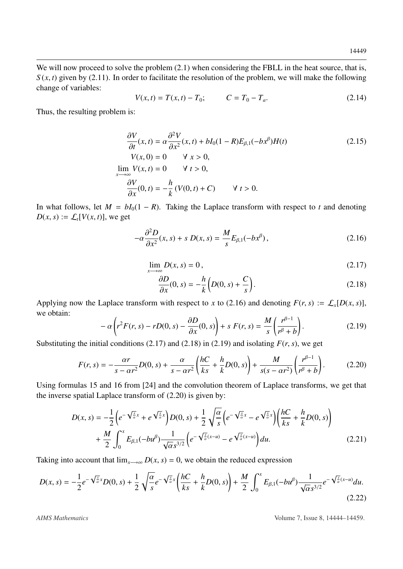We will now proceed to solve the problem  $(2.1)$  when considering the FBLL in the heat source, that is,  $S(x, t)$  given by [\(2.11\)](#page-4-3). In order to facilitate the resolution of the problem, we will make the following change of variables:

<span id="page-5-6"></span>
$$
V(x,t) = T(x,t) - T_0; \t C = T_0 - T_a.
$$
\t(2.14)

Thus, the resulting problem is:

$$
\frac{\partial V}{\partial t}(x,t) = \alpha \frac{\partial^2 V}{\partial x^2}(x,t) + bI_0(1-R)E_{\beta,1}(-bx^{\beta})H(t)
$$
(2.15)  

$$
V(x,0) = 0 \quad \forall x > 0,
$$
  

$$
\lim_{x \to \infty} V(x,t) = 0 \quad \forall t > 0,
$$
  

$$
\frac{\partial V}{\partial x}(0,t) = -\frac{h}{k}(V(0,t) + C) \quad \forall t > 0.
$$

In what follows, let  $M = bI_0(1 - R)$ . Taking the Laplace transform with respect to *t* and denoting  $D(x, s) := \mathcal{L}_t[V(x, t)]$ , we get

$$
-\alpha \frac{\partial^2 D}{\partial x^2}(x,s) + s D(x,s) = \frac{M}{s} E_{\beta,1}(-bx^\beta), \qquad (2.16)
$$

$$
\lim_{x \to \infty} D(x, s) = 0, \tag{2.17}
$$

<span id="page-5-5"></span><span id="page-5-2"></span><span id="page-5-1"></span><span id="page-5-0"></span>
$$
\frac{\partial D}{\partial x}(0, s) = -\frac{h}{k} \left( D(0, s) + \frac{C}{s} \right).
$$
\n(2.18)

Applying now the Laplace transform with respect to *x* to [\(2.16\)](#page-5-0) and denoting  $F(r, s) := \mathcal{L}_x[D(x, s)]$ , we obtain:

<span id="page-5-3"></span>
$$
-\alpha \left(r^2 F(r,s) - r D(0,s) - \frac{\partial D}{\partial x}(0,s)\right) + s F(r,s) = \frac{M}{s} \left(\frac{r^{\beta - 1}}{r^{\beta} + b}\right).
$$
 (2.19)

Substituting the initial conditions [\(2.17\)](#page-5-1) and [\(2.18\)](#page-5-2) in [\(2.19\)](#page-5-3) and isolating  $F(r, s)$ , we get

<span id="page-5-4"></span>
$$
F(r,s) = -\frac{\alpha r}{s - \alpha r^2} D(0,s) + \frac{\alpha}{s - \alpha r^2} \left( \frac{hC}{ks} + \frac{h}{k} D(0,s) \right) + \frac{M}{s(s - \alpha r^2)} \left( \frac{r^{\beta - 1}}{r^{\beta} + b} \right). \tag{2.20}
$$

Using formulas 15 and 16 from [\[24\]](#page-15-10) and the convolution theorem of Laplace transforms, we get that the inverse spatial Laplace transform of [\(2.20\)](#page-5-4) is given by:

$$
D(x,s) = -\frac{1}{2} \left( e^{-\sqrt{\frac{s}{\alpha}}x} + e^{\sqrt{\frac{s}{\alpha}}x} \right) D(0,s) + \frac{1}{2} \sqrt{\frac{\alpha}{s}} \left( e^{-\sqrt{\frac{s}{\alpha}}x} - e^{\sqrt{\frac{s}{\alpha}}x} \right) \left( \frac{hC}{ks} + \frac{h}{k} D(0,s) \right) + \frac{M}{2} \int_0^x E_{\beta,1}(-bu^{\beta}) \frac{1}{\sqrt{\alpha}s^{3/2}} \left( e^{-\sqrt{\frac{s}{\alpha}}(x-u)} - e^{\sqrt{\frac{s}{\alpha}}(x-u)} \right) du.
$$
 (2.21)

Taking into account that  $\lim_{x\to\infty} D(x, s) = 0$ , we obtain the reduced expression

$$
D(x,s) = -\frac{1}{2}e^{-\sqrt{\frac{s}{\alpha}}x}D(0,s) + \frac{1}{2}\sqrt{\frac{\alpha}{s}}e^{-\sqrt{\frac{s}{\alpha}}x}\left(\frac{hC}{ks} + \frac{h}{k}D(0,s)\right) + \frac{M}{2}\int_0^x E_{\beta,1}(-bu^{\beta})\frac{1}{\sqrt{\alpha}s^{3/2}}e^{-\sqrt{\frac{s}{\alpha}}(x-u)}du.
$$
\n(2.22)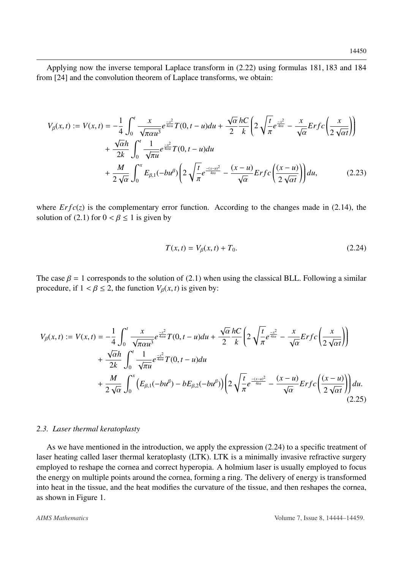Applying now the inverse temporal Laplace transform in [\(2.22\)](#page-5-5) using formulas 181, 183 and 184 from [\[24\]](#page-15-10) and the convolution theorem of Laplace transforms, we obtain:

$$
V_{\beta}(x,t) := V(x,t) = -\frac{1}{4} \int_0^t \frac{x}{\sqrt{\pi \alpha u^3}} e^{\frac{-x^2}{4\alpha u}} T(0, t - u) du + \frac{\sqrt{\alpha}}{2} \frac{hC}{k} \left( 2\sqrt{\frac{t}{\pi}} e^{\frac{-x^2}{4\alpha u}} - \frac{x}{\sqrt{\alpha}} Erfc\left(\frac{x}{2\sqrt{\alpha t}}\right) \right) + \frac{\sqrt{\alpha}h}{2k} \int_0^t \frac{1}{\sqrt{\pi u}} e^{\frac{-x^2}{4\alpha u}} T(0, t - u) du + \frac{M}{2\sqrt{\alpha}} \int_0^x E_{\beta,1}(-bu^{\beta}) \left( 2\sqrt{\frac{t}{\pi}} e^{\frac{-(x-u)^2}{4\alpha}} - \frac{(x-u)}{\sqrt{\alpha}} Erfc\left(\frac{(x-u)}{2\sqrt{\alpha t}}\right) \right) du, \tag{2.23}
$$

where  $Erfc(z)$  is the complementary error function. According to the changes made in [\(2.14\)](#page-5-6), the solution of [\(2.1\)](#page-2-0) for  $0 < \beta \le 1$  is given by

<span id="page-6-0"></span>
$$
T(x,t) = V_{\beta}(x,t) + T_0.
$$
 (2.24)

The case  $\beta = 1$  corresponds to the solution of [\(2.1\)](#page-2-0) when using the classical BLL. Following a similar procedure, if  $1 < \beta \leq 2$ , the function  $V_\beta(x, t)$  is given by:

$$
V_{\beta}(x,t) := V(x,t) = -\frac{1}{4} \int_0^t \frac{x}{\sqrt{\pi \alpha u^3}} e^{\frac{-x^2}{4\alpha u}} T(0,t-u) du + \frac{\sqrt{\alpha}}{2} \frac{hC}{k} \left( 2\sqrt{\frac{t}{\pi}} e^{\frac{-x^2}{4\alpha u}} - \frac{x}{\sqrt{\alpha}} Erfc\left(\frac{x}{2\sqrt{\alpha t}}\right) \right) + \frac{\sqrt{\alpha}h}{2k} \int_0^t \frac{1}{\sqrt{\pi u}} e^{\frac{-x^2}{4\alpha u}} T(0,t-u) du + \frac{M}{2\sqrt{\alpha}} \int_0^x \left( E_{\beta,1}(-bu^{\beta}) - bE_{\beta,2}(-bu^{\beta}) \right) \left( 2\sqrt{\frac{t}{\pi}} e^{\frac{-(x-u)^2}{4\alpha u}} - \frac{(x-u)}{\sqrt{\alpha}} Erfc\left(\frac{(x-u)}{2\sqrt{\alpha t}}\right) \right) du.
$$
\n(2.25)

#### *2.3. Laser thermal keratoplasty*

As we have mentioned in the introduction, we apply the expression  $(2.24)$  to a specific treatment of laser heating called laser thermal keratoplasty (LTK). LTK is a minimally invasive refractive surgery employed to reshape the cornea and correct hyperopia. A holmium laser is usually employed to focus the energy on multiple points around the cornea, forming a ring. The delivery of energy is transformed into heat in the tissue, and the heat modifies the curvature of the tissue, and then reshapes the cornea, as shown in Figure [1.](#page-7-0)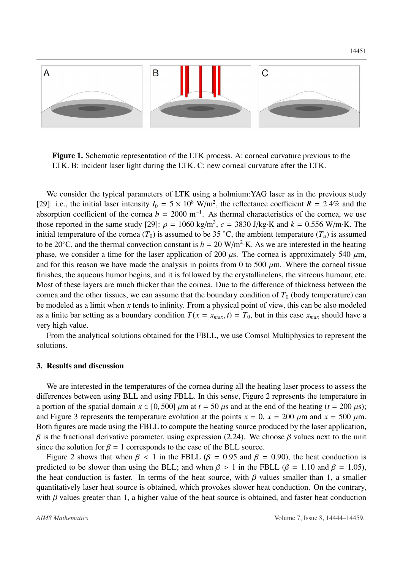<span id="page-7-0"></span>

Figure 1. Schematic representation of the LTK process. A: corneal curvature previous to the LTK. B: incident laser light during the LTK. C: new corneal curvature after the LTK.

We consider the typical parameters of LTK using a holmium:YAG laser as in the previous study [\[29\]](#page-15-9): i.e., the initial laser intensity  $I_0 = 5 \times 10^8$  W/m<sup>2</sup>, the reflectance coefficient  $R = 2.4\%$  and the observation coefficient of the corner  $h = 2000$  m<sup>-1</sup>. As thermal characteristics of the corner, we use absorption coefficient of the cornea  $b = 2000 \text{ m}^{-1}$ . As thermal characteristics of the cornea, we use those reported in the same study [\[29\]](#page-15-9):  $\rho = 1060 \text{ kg/m}^3$ ,  $c = 3830 \text{ J/kg} \cdot \text{K}$  and  $k = 0.556 \text{ W/m} \cdot \text{K}$ . The initial temperature of the cornea  $(T_*)$  is assumed to be 35 °C, the ambient temperature  $(T_*)$  is assumed initial temperature of the cornea  $(T_0)$  is assumed to be 35 °C, the ambient temperature  $(T_a)$  is assumed to be 20 $\degree$ C, and the thermal convection constant is  $h = 20 \text{ W/m}^2$ ·K. As we are interested in the heating phase, we consider a time for the laser application of 200  $\mu$ s. The cornea is approximately 540  $\mu$ m, and for this reason we have made the analysis in points from 0 to 500  $\mu$ m. Where the corneal tissue finishes, the aqueous humor begins, and it is followed by the crystallinelens, the vitreous humour, etc. Most of these layers are much thicker than the cornea. Due to the difference of thickness between the cornea and the other tissues, we can assume that the boundary condition of  $T_0$  (body temperature) can be modeled as a limit when *x* tends to infinity. From a physical point of view, this can be also modeled as a finite bar setting as a boundary condition  $T(x = x_{max}, t) = T_0$ , but in this case  $x_{max}$  should have a very high value.

From the analytical solutions obtained for the FBLL, we use Comsol Multiphysics to represent the solutions.

#### 3. Results and discussion

We are interested in the temperatures of the cornea during all the heating laser process to assess the differences between using BLL and using FBLL. In this sense, Figure [2](#page-10-0) represents the temperature in a portion of the spatial domain  $x \in [0, 500]$   $\mu$ m at  $t = 50$   $\mu$ s and at the end of the heating ( $t = 200 \mu$ s); and Figure [3](#page-11-0) represents the temperature evolution at the points  $x = 0$ ,  $x = 200 \mu m$  and  $x = 500 \mu m$ . Both figures are made using the FBLL to compute the heating source produced by the laser application, β is the fractional derivative parameter, using expression [\(2.24\)](#page-6-0). We choose β values next to the unit since the solution for  $\beta = 1$  corresponds to the case of the BLL source.

Figure [2](#page-10-0) shows that when  $\beta$  < 1 in the FBLL ( $\beta$  = 0.95 and  $\beta$  = 0.90), the heat conduction is predicted to be slower than using the BLL; and when  $\beta > 1$  in the FBLL ( $\beta = 1.10$  and  $\beta = 1.05$ ), the heat conduction is faster. In terms of the heat source, with  $\beta$  values smaller than 1, a smaller quantitatively laser heat source is obtained, which provokes slower heat conduction. On the contrary, with  $\beta$  values greater than 1, a higher value of the heat source is obtained, and faster heat conduction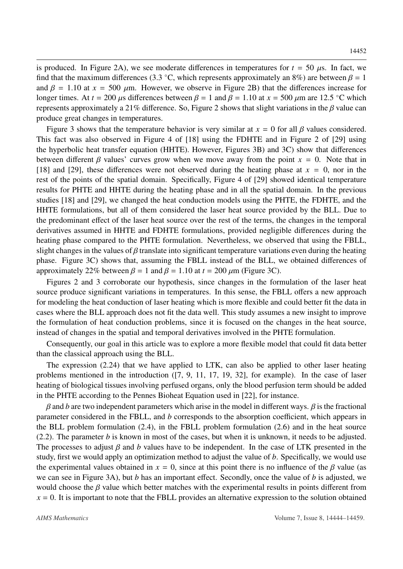is produced. In Figure [2A](#page-10-0)), we see moderate differences in temperatures for  $t = 50 \mu s$ . In fact, we find that the maximum differences (3.3 °C, which represents approximately an 8%) are between  $\beta = 1$ <br>and  $\beta = 1.10$  at  $x = 500$  (im. However, we observe in Figure 2B) that the differences increase for and  $\beta$  = 1.10 at  $x = 500 \mu$ m. However, we observe in Figure [2B](#page-10-0)) that the differences increase for longer times. At *t* = 200  $\mu$ s differences between  $\beta$  = 1 and  $\beta$  = 1.10 at *x* = 500  $\mu$ m are 12.5 °C which represents approximately a [2](#page-10-0)1% difference. So, Figure 2 shows that slight variations in the  $\beta$  value can produce great changes in temperatures.

Figure [3](#page-11-0) shows that the temperature behavior is very similar at  $x = 0$  for all  $\beta$  values considered. This fact was also observed in Figure 4 of [\[18\]](#page-14-9) using the FDHTE and in Figure 2 of [\[29\]](#page-15-9) using the hyperbolic heat transfer equation (HHTE). However, Figures [3B](#page-11-0)) and [3C](#page-11-0)) show that differences between different  $\beta$  values' curves grow when we move away from the point  $x = 0$ . Note that in [\[18\]](#page-14-9) and [\[29\]](#page-15-9), these differences were not observed during the heating phase at  $x = 0$ , nor in the rest of the points of the spatial domain. Specifically, Figure 4 of [\[29\]](#page-15-9) showed identical temperature results for PHTE and HHTE during the heating phase and in all the spatial domain. In the previous studies [\[18\]](#page-14-9) and [\[29\]](#page-15-9), we changed the heat conduction models using the PHTE, the FDHTE, and the HHTE formulations, but all of them considered the laser heat source provided by the BLL. Due to the predominant effect of the laser heat source over the rest of the terms, the changes in the temporal derivatives assumed in HHTE and FDHTE formulations, provided negligible differences during the heating phase compared to the PHTE formulation. Nevertheless, we observed that using the FBLL, slight changes in the values of  $\beta$  translate into significant temperature variations even during the heating phase. Figure [3C](#page-11-0)) shows that, assuming the FBLL instead of the BLL, we obtained differences of approximately 22% between  $\beta = 1$  and  $\beta = 1.10$  at  $t = 200 \mu m$  (Figure [3C](#page-11-0)).

Figures [2](#page-10-0) and [3](#page-11-0) corroborate our hypothesis, since changes in the formulation of the laser heat source produce significant variations in temperatures. In this sense, the FBLL offers a new approach for modeling the heat conduction of laser heating which is more flexible and could better fit the data in cases where the BLL approach does not fit the data well. This study assumes a new insight to improve the formulation of heat conduction problems, since it is focused on the changes in the heat source, instead of changes in the spatial and temporal derivatives involved in the PHTE formulation.

Consequently, our goal in this article was to explore a more flexible model that could fit data better than the classical approach using the BLL.

The expression [\(2.24\)](#page-6-0) that we have applied to LTK, can also be applied to other laser heating problems mentioned in the introduction ([\[7,](#page-14-0) [9,](#page-14-4) [11,](#page-14-1) [17,](#page-14-2) [19,](#page-14-3) [32\]](#page-15-0), for example). In the case of laser heating of biological tissues involving perfused organs, only the blood perfusion term should be added in the PHTE according to the Pennes Bioheat Equation used in [\[22\]](#page-15-11), for instance.

 $\beta$  and *b* are two independent parameters which arise in the model in different ways.  $\beta$  is the fractional parameter considered in the FBLL, and *b* corresponds to the absorption coefficient, which appears in the BLL problem formulation [\(2.4\)](#page-3-0), in the FBLL problem formulation [\(2.6\)](#page-3-2) and in the heat source  $(2.2)$ . The parameter *b* is known in most of the cases, but when it is unknown, it needs to be adjusted. The processes to adjust  $\beta$  and  $\beta$  values have to be independent. In the case of LTK presented in the study, first we would apply an optimization method to adjust the value of *b*. Specifically, we would use the experimental values obtained in  $x = 0$ , since at this point there is no influence of the  $\beta$  value (as we can see in Figure [3A](#page-11-0)), but *b* has an important effect. Secondly, once the value of *b* is adjusted, we would choose the  $\beta$  value which better matches with the experimental results in points different from  $x = 0$ . It is important to note that the FBLL provides an alternative expression to the solution obtained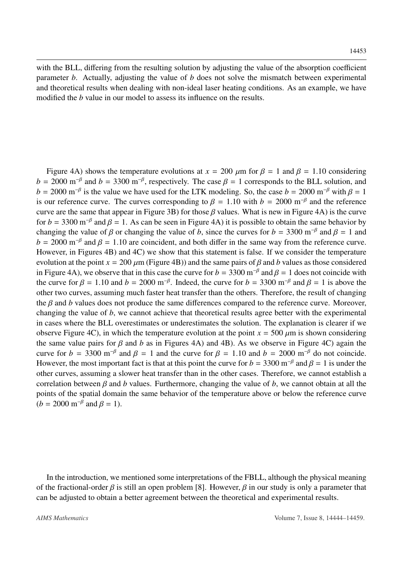with the BLL, differing from the resulting solution by adjusting the value of the absorption coefficient parameter *b*. Actually, adjusting the value of *b* does not solve the mismatch between experimental and theoretical results when dealing with non-ideal laser heating conditions. As an example, we have modified the *b* value in our model to assess its influence on the results.

Figure [4A](#page-12-0)) shows the temperature evolutions at  $x = 200 \mu m$  for  $\beta = 1$  and  $\beta = 1.10$  considering  $b = 2000 \text{ m}^{-\beta}$  and  $b = 3300 \text{ m}^{-\beta}$ , respectively. The case  $\beta = 1$  corresponds to the BLL solution, and  $b = 2000 \text{ m}^{-\beta}$  is the value we have used for the LTK modeling. So, the case  $b = 2000 \text{ m}^{-\beta}$  with  $\beta = 1$  $b = 2000 \text{ m}^{-\beta}$  is the value we have used for the LTK modeling. So, the case  $b = 2000 \text{ m}^{-\beta}$  with  $\beta = 1$ <br>is our reference curve. The curves corresponding to  $\beta = 1.10$  with  $b = 2000 \text{ m}^{-\beta}$  and the reference is our reference curve. The curves corresponding to  $\beta = 1.10$  with  $b = 2000$  m<sup>-β</sup> and the reference<br>curve are the same that appear in Figure 3B) for those *B* values. What is new in Figure 4A) is the curve curve are the same that appear in Figure [3B](#page-11-0)) for those  $\beta$  values. What is new in Figure [4A](#page-12-0)) is the curve for *b* = 3300 m<sup>-β</sup> and  $\beta$  = 1. As can be seen in Figure [4A](#page-12-0)) it is possible to obtain the same behavior by changing the value of  $\beta$  or changing the value of *b* since the curves for *b* = 3300 m<sup>-β</sup> and  $\beta$  = 1 and changing the value of  $\beta$  or changing the value of *b*, since the curves for *b* = 3300 m<sup>-β</sup> and  $\beta$  = 1 and *b* = 2000 m<sup>-β</sup> and  $\beta$  = 1.10 are coincident, and both differ in the same way from the reference curve  $b = 2000$  m<sup>-β</sup> and  $\beta = 1.10$  are coincident, and both differ in the same way from the reference curve.<br>However, in Figures *AB*) and *AC*) we show that this statement is false. If we consider the temperature However, in Figures [4B](#page-12-0)) and [4C](#page-12-0)) we show that this statement is false. If we consider the temperature evolution at the point  $x = 200 \mu m$  (Figure [4B](#page-12-0))) and the same pairs of  $\beta$  and  $b$  values as those considered in Figure [4A](#page-12-0)), we observe that in this case the curve for *b* = 3300 m<sup>-β</sup> and  $\beta$  = 1 does not coincide with the curve for  $\beta$  = 1.10 and *b* = 2000 m<sup>-β</sup> Indeed, the curve for *b* = 3300 m<sup>-β</sup> and  $\beta$  = 1 is above th the curve for  $\beta = 1.10$  and  $b = 2000$  m<sup>-β</sup>. Indeed, the curve for  $b = 3300$  m<sup>-β</sup> and  $\beta = 1$  is above the other two curves assuming much faster heat transfer than the others. Therefore, the result of changing other two curves, assuming much faster heat transfer than the others. Therefore, the result of changing the β and *<sup>b</sup>* values does not produce the same differences compared to the reference curve. Moreover, changing the value of *b*, we cannot achieve that theoretical results agree better with the experimental in cases where the BLL overestimates or underestimates the solution. The explanation is clearer if we observe Figure [4C](#page-12-0)), in which the temperature evolution at the point  $x = 500 \mu m$  is shown considering the same value pairs for  $\beta$  and  $b$  as in Figures [4A](#page-12-0)) and [4B](#page-12-0)). As we observe in Figure [4C](#page-12-0)) again the curve for *b* = 3300 m<sup>-β</sup> and  $\beta$  = 1 and the curve for  $\beta$  = 1.10 and *b* = 2000 m<sup>-β</sup> do not coincide. However, the most important fact is that at this point the curve for  $b = 3300$  m<sup>-β</sup> and  $\beta = 1$  is under the other curves assuming a slower heat transfer than in the other cases. Therefore, we cannot establish a other curves, assuming a slower heat transfer than in the other cases. Therefore, we cannot establish a correlation between  $\beta$  and  $b$  values. Furthermore, changing the value of  $b$ , we cannot obtain at all the points of the spatial domain the same behavior of the temperature above or below the reference curve  $(b = 2000 \text{ m}^{-\beta} \text{ and } \beta = 1).$ 

In the introduction, we mentioned some interpretations of the FBLL, although the physical meaning of the fractional-order  $\beta$  is still an open problem [\[8\]](#page-14-15). However,  $\beta$  in our study is only a parameter that can be adjusted to obtain a better agreement between the theoretical and experimental results.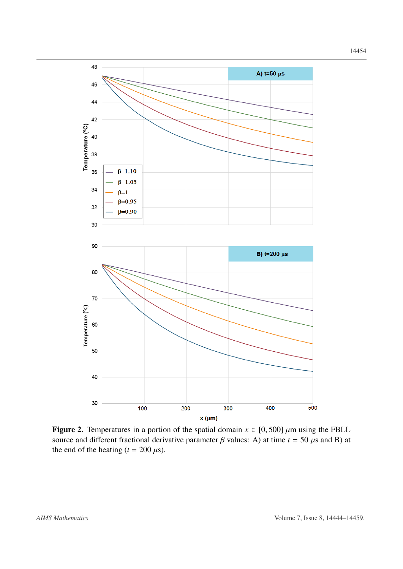14454

<span id="page-10-0"></span>

Figure 2. Temperatures in a portion of the spatial domain  $x \in [0, 500]$   $\mu$ m using the FBLL source and different fractional derivative parameter  $\beta$  values: A) at time  $t = 50 \,\mu s$  and B) at the end of the heating  $(t = 200 \,\mu s)$ .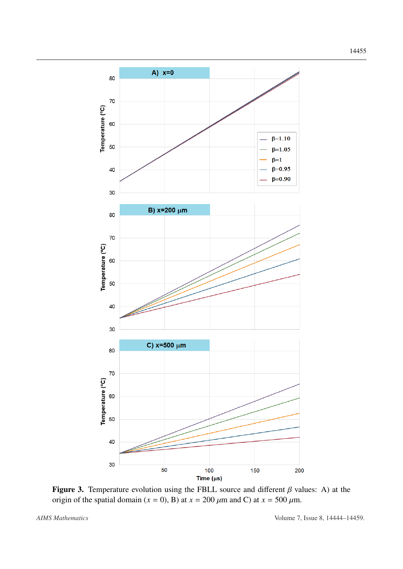<span id="page-11-0"></span>

Figure 3. Temperature evolution using the FBLL source and different  $\beta$  values: A) at the origin of the spatial domain ( $x = 0$ ), B) at  $x = 200 \mu$ m and C) at  $x = 500 \mu$ m.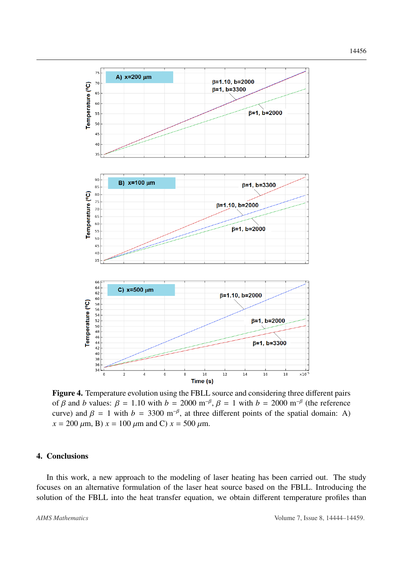<span id="page-12-0"></span>

Figure 4. Temperature evolution using the FBLL source and considering three different pairs of β and *b* values:  $\beta = 1.10$  with  $b = 2000$  m<sup>-β</sup>,  $\beta = 1$  with  $b = 2000$  m<sup>-β</sup> (the reference curve) and  $\beta = 1$  with  $b = 3300$  m<sup>-β</sup>, at three different points of the spatial domain: A)<br> $x = 200$  (m, B)  $x = 100$  (m, and C)  $x = 500$  (m  $x = 200 \ \mu \text{m}$ , B)  $x = 100 \ \mu \text{m}$  and C)  $x = 500 \ \mu \text{m}$ .

# 4. Conclusions

In this work, a new approach to the modeling of laser heating has been carried out. The study focuses on an alternative formulation of the laser heat source based on the FBLL. Introducing the solution of the FBLL into the heat transfer equation, we obtain different temperature profiles than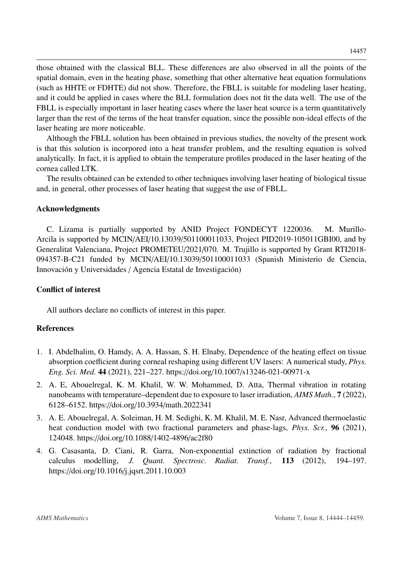those obtained with the classical BLL. These differences are also observed in all the points of the spatial domain, even in the heating phase, something that other alternative heat equation formulations (such as HHTE or FDHTE) did not show. Therefore, the FBLL is suitable for modeling laser heating, and it could be applied in cases where the BLL formulation does not fit the data well. The use of the FBLL is especially important in laser heating cases where the laser heat source is a term quantitatively larger than the rest of the terms of the heat transfer equation, since the possible non-ideal effects of the laser heating are more noticeable.

Although the FBLL solution has been obtained in previous studies, the novelty of the present work is that this solution is incorpored into a heat transfer problem, and the resulting equation is solved analytically. In fact, it is applied to obtain the temperature profiles produced in the laser heating of the cornea called LTK.

The results obtained can be extended to other techniques involving laser heating of biological tissue and, in general, other processes of laser heating that suggest the use of FBLL.

### Acknowledgments

C. Lizama is partially supported by ANID Project FONDECYT 1220036. M. Murillo-Arcila is supported by MCIN/AEI/10.13039/501100011033, Project PID2019-105011GBI00, and by Generalitat Valenciana, Project PROMETEU/2021/070. M. Trujillo is supported by Grant RTI2018- 094357-B-C21 funded by MCIN/AEI/10.13039/501100011033 (Spanish Ministerio de Ciencia, Innovación y Universidades / Agencia Estatal de Investigación)

## Conflict of interest

All authors declare no conflicts of interest in this paper.

## References

- <span id="page-13-1"></span>1. I. Abdelhalim, O. Hamdy, A. A. Hassan, S. H. Elnaby, Dependence of the heating effect on tissue absorption coefficient during corneal reshaping using different UV lasers: A numerical study, *Phys. Eng. Sci. Med.* 44 (2021), 221–227. https://doi.org/10.1007/[s13246-021-00971-x](http://dx.doi.org/https://doi.org/10.1007/s13246-021-00971-x)
- <span id="page-13-0"></span>2. A. E, Abouelregal, K. M. Khalil, W. W. Mohammed, D. Atta, Thermal vibration in rotating nanobeams with temperature–dependent due to exposure to laser irradiation, *AIMS Math.*, 7 (2022), 6128–6152. https://doi.org/10.3934/[math.2022341](http://dx.doi.org/https://doi.org/10.3934/math.2022341)
- <span id="page-13-3"></span>3. A. E. Abouelregal, A. Soleiman, H. M. Sedighi, K. M. Khalil, M. E. Nasr, Advanced thermoelastic heat conduction model with two fractional parameters and phase-lags, *Phys. Scr.*, 96 (2021), 124048. https://doi.org/10.1088/[1402-4896](http://dx.doi.org/https://doi.org/10.1088/1402-4896/ac2f80)/ac2f80
- <span id="page-13-2"></span>4. G. Casasanta, D. Ciani, R. Garra, Non-exponential extinction of radiation by fractional calculus modelling, *J. Quant. Spectrosc. Radiat. Transf.*, 113 (2012), 194–197. https://doi.org/10.1016/[j.jqsrt.2011.10.003](http://dx.doi.org/https://doi.org/10.1016/j.jqsrt.2011.10.003)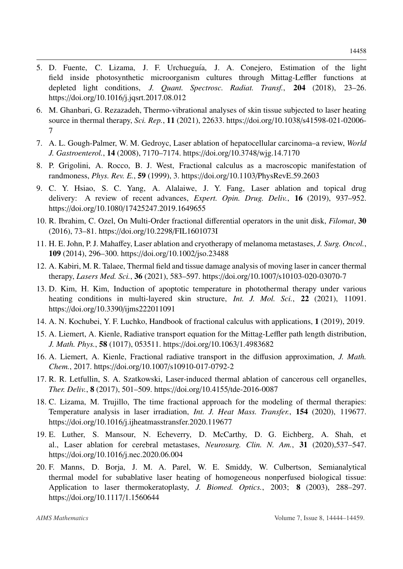- <span id="page-14-13"></span>5. D. Fuente, C. Lizama, J. F. Urchueguía, J. A. Conejero, Estimation of the light field inside photosynthetic microorganism cultures through Mittag-Leffler functions at depleted light conditions, *J. Quant. Spectrosc. Radiat. Transf.*, 204 (2018), 23–26. https://doi.org/10.1016/[j.jqsrt.2017.08.012](http://dx.doi.org/https://doi.org/10.1016/j.jqsrt.2017.08.012)
- <span id="page-14-5"></span>6. M. Ghanbari, G. Rezazadeh, Thermo-vibrational analyses of skin tissue subjected to laser heating source in thermal therapy, *Sci. Rep.*, 11 (2021), 22633. https://doi.org/10.1038/[s41598-021-02006-](http://dx.doi.org/https://doi.org/10.1038/s41598-021-02006-7) [7](http://dx.doi.org/https://doi.org/10.1038/s41598-021-02006-7)
- <span id="page-14-0"></span>7. A. L. Gough-Palmer, W. M. Gedroyc, Laser ablation of hepatocellular carcinoma–a review, *World J. Gastroenterol.*, 14 (2008), 7170–7174. https://doi.org/10.3748/[wjg.14.7170](http://dx.doi.org/https://doi.org/10.3748/wjg.14.7170)
- <span id="page-14-15"></span>8. P. Grigolini, A. Rocco, B. J. West, Fractional calculus as a macroscopic manifestation of randmoness, *Phys. Rev. E.*, 59 (1999), 3. https://doi.org/10.1103/[PhysRevE.59.2603](http://dx.doi.org/https://doi.org/10.1103/PhysRevE.59.2603)
- <span id="page-14-4"></span>9. C. Y. Hsiao, S. C. Yang, A. Alalaiwe, J. Y. Fang, Laser ablation and topical drug delivery: A review of recent advances, *Expert. Opin. Drug. Deliv.*, 16 (2019), 937–952. https://doi.org/10.1080/[17425247.2019.1649655](http://dx.doi.org/https://doi.org/10.1080/17425247.2019.1649655)
- <span id="page-14-11"></span>10. R. Ibrahim, C. Ozel, On Multi-Order fractional differential operators in the unit disk, *Filomat*, 30 (2016), 73–81. https://doi.org/10.2298/[FIL1601073I](http://dx.doi.org/https://doi.org/10.2298/FIL1601073I)
- <span id="page-14-1"></span>11. H. E. John, P. J. Mahaffey, Laser ablation and cryotherapy of melanoma metastases, *J. Surg. Oncol.*, 109 (2014), 296–300. https://doi.org/10.1002/[jso.23488](http://dx.doi.org/https://doi.org/10.1002/jso.23488)
- <span id="page-14-6"></span>12. A. Kabiri, M. R. Talaee, Thermal field and tissue damage analysis of moving laser in cancer thermal therapy, *Lasers Med. Sci.*, 36 (2021), 583–597. https://doi.org/10.1007/[s10103-020-03070-7](http://dx.doi.org/https://doi.org/10.1007/s10103-020-03070-7)
- <span id="page-14-7"></span>13. D. Kim, H. Kim, Induction of apoptotic temperature in photothermal therapy under various heating conditions in multi-layered skin structure, *Int. J. Mol. Sci.*, 22 (2021), 11091. https://doi.org/10.3390/[ijms222011091](http://dx.doi.org/https://doi.org/10.3390/ijms222011091)
- <span id="page-14-14"></span>14. A. N. Kochubei, Y. F. Luchko, Handbook of fractional calculus with applications, 1 (2019), 2019.
- <span id="page-14-10"></span>15. A. Liemert, A. Kienle, Radiative transport equation for the Mittag-Leffler path length distribution, *J. Math. Phys.*, 58 (1017), 053511. https://doi.org/10.1063/[1.4983682](http://dx.doi.org/https://doi.org/10.1063/1.4983682)
- <span id="page-14-12"></span>16. A. Liemert, A. Kienle, Fractional radiative transport in the diffusion approximation, *J. Math. Chem.*, 2017. https://doi.org/10.1007/[s10910-017-0792-2](http://dx.doi.org/https://doi.org/10.1007/s10910-017-0792-2)
- <span id="page-14-2"></span>17. R. R. Letfullin, S. A. Szatkowski, Laser-induced thermal ablation of cancerous cell organelles, *Ther. Deliv.*, 8 (2017), 501–509. https://doi.org/10.4155/[tde-2016-0087](http://dx.doi.org/https://doi.org/10.4155/tde-2016-0087)
- <span id="page-14-9"></span>18. C. Lizama, M. Trujillo, The time fractional approach for the modeling of thermal therapies: Temperature analysis in laser irradiation, *Int. J. Heat Mass. Transfer.*, 154 (2020), 119677. https://doi.org/10.1016/[j.ijheatmasstransfer.2020.119677](http://dx.doi.org/https://doi.org/10.1016/j.ijheatmasstransfer.2020.119677)
- <span id="page-14-3"></span>19. E. Luther, S. Mansour, N. Echeverry, D. McCarthy, D. G. Eichberg, A. Shah, et al., Laser ablation for cerebral metastases, *Neurosurg. Clin. N. Am.*, 31 (2020),537–547. https://doi.org/10.1016/[j.nec.2020.06.004](http://dx.doi.org/https://doi.org/10.1016/j.nec.2020.06.004)
- <span id="page-14-8"></span>20. F. Manns, D. Borja, J. M. A. Parel, W. E. Smiddy, W. Culbertson, Semianalytical thermal model for subablative laser heating of homogeneous nonperfused biological tissue: Application to laser thermokeratoplasty, *J. Biomed. Optics.*, 2003; 8 (2003), 288–297. https://doi.org/10.1117/[1.1560644](http://dx.doi.org/https://doi.org/10.1117/1.1560644)